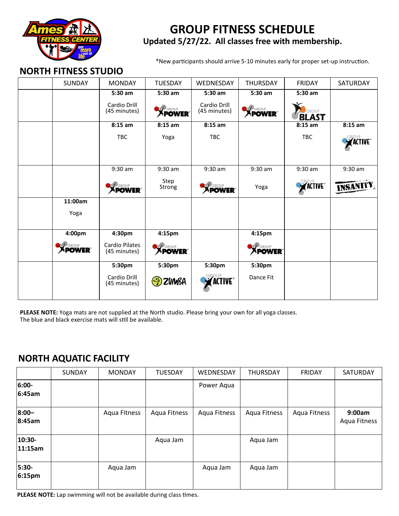

# **GROUP FITNESS SCHEDULE Updated 5/27/22. All classes free with membership.**

\*New participants should arrive 5-10 minutes early for proper set-up instruction.

#### **NORTH FITNESS STUDIO**

| SUNDAY         | <b>MONDAY</b>                | <b>TUESDAY</b>     | WEDNESDAY                    | <b>THURSDAY</b>    | <b>FRIDAY</b>   | SATURDAY        |
|----------------|------------------------------|--------------------|------------------------------|--------------------|-----------------|-----------------|
|                | 5:30 am                      | 5:30 am            | $5:30$ am                    | 5:30 am            | 5:30 am         |                 |
|                | Cardio Drill<br>(45 minutes) | <b>XPOWER</b>      | Cardio Drill<br>(45 minutes) | <b>XPOWER</b>      |                 |                 |
|                |                              |                    |                              |                    | <b>BLAST</b>    |                 |
|                | $8:15$ am                    | $8:15$ am          | $8:15$ am                    |                    | $8:15$ am       | $8:15$ am       |
|                | <b>TBC</b>                   | Yoga               | <b>TBC</b>                   |                    | <b>TBC</b>      | <b>ACTIVE</b>   |
|                |                              |                    |                              |                    |                 |                 |
|                | $9:30$ am                    | $9:30$ am          | $9:30$ am                    | $9:30$ am          | $9:30$ am       | $9:30$ am       |
|                | <b>XPOWER</b>                | Step<br>Strong     | <b>XPOWER</b>                | Yoga               | <b>EXACTIVE</b> | <b>INSANITY</b> |
| 11:00am        |                              |                    |                              |                    |                 |                 |
| Yoga           |                              |                    |                              |                    |                 |                 |
| 4:00pm         | 4:30pm                       | 4:15 <sub>pm</sub> |                              | 4:15 <sub>pm</sub> |                 |                 |
|                | <b>Cardio Pilates</b>        |                    |                              |                    |                 |                 |
| <b>EXPOWER</b> | (45 minutes)                 | <b>EXPOWER</b>     |                              | <b>XPOWER</b>      |                 |                 |
|                | 5:30pm                       | 5:30pm             | 5:30pm                       | 5:30pm             |                 |                 |
|                | Cardio Drill<br>(45 minutes) | $\odot$ ZVMBA      | <b>ACTIVE</b> ®              | Dance Fit          |                 |                 |
|                |                              |                    |                              |                    |                 |                 |

**PLEASE NOTE:** Yoga mats are not supplied at the North studio. Please bring your own for all yoga classes. The blue and black exercise mats will still be available.

### **NORTH AQUATIC FACILITY**

|                    | SUNDAY | <b>MONDAY</b> | <b>TUESDAY</b> | WEDNESDAY    | <b>THURSDAY</b> | FRIDAY       | SATURDAY               |
|--------------------|--------|---------------|----------------|--------------|-----------------|--------------|------------------------|
| $6:00 -$<br>6:45am |        |               |                | Power Aqua   |                 |              |                        |
| $8:00 -$<br>8:45am |        | Aqua Fitness  | Aqua Fitness   | Aqua Fitness | Aqua Fitness    | Aqua Fitness | 9:00am<br>Aqua Fitness |
| 10:30-<br>11:15am  |        |               | Aqua Jam       |              | Aqua Jam        |              |                        |
| $5:30-$<br>6:15pm  |        | Aqua Jam      |                | Aqua Jam     | Aqua Jam        |              |                        |

**PLEASE NOTE:** Lap swimming will not be available during class times.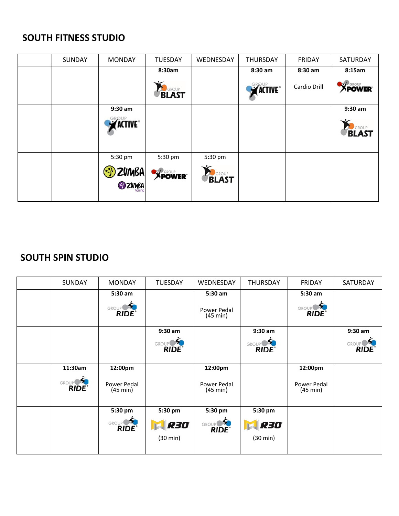# **SOUTH FITNESS STUDIO**

| SUNDAY | <b>MONDAY</b>                    | <b>TUESDAY</b>   | WEDNESDAY    | <b>THURSDAY</b> | <b>FRIDAY</b> | SATURDAY      |
|--------|----------------------------------|------------------|--------------|-----------------|---------------|---------------|
|        |                                  | 8:30am           |              | 8:30 am         | 8:30 am       | 8:15am        |
|        |                                  | <b>RUSROUP</b>   |              | <b>EXACTIVE</b> | Cardio Drill  | <b>XPOWER</b> |
|        | $9:30$ am                        |                  |              |                 |               | $9:30$ am     |
|        | <b>EROUP</b><br><b>Z</b> ACTIVE® |                  |              |                 |               | <b>BLAST</b>  |
|        | 5:30 pm                          | 5:30 pm          | 5:30 pm      |                 |               |               |
|        | <b>ED ZUMBA</b>                  | <b>EXP GROUP</b> | <b>BLAST</b> |                 |               |               |

## **SOUTH SPIN STUDIO**

| <b>SUNDAY</b> | <b>MONDAY</b>                                          | <b>TUESDAY</b>     | WEDNESDAY               | <b>THURSDAY</b>                    | <b>FRIDAY</b>           | SATURDAY  |
|---------------|--------------------------------------------------------|--------------------|-------------------------|------------------------------------|-------------------------|-----------|
|               | 5:30 am                                                |                    | 5:30 am                 |                                    | 5:30 am                 |           |
|               | GROUP S.                                               |                    | Power Pedal<br>(45 min) |                                    | GROUP S.                |           |
|               |                                                        | $9:30$ am          |                         | $9:30$ am                          |                         | $9:30$ am |
|               |                                                        | GROUP S            |                         | GROUP <sup>OS</sup><br><b>RIDE</b> |                         | GROUP S   |
| 11:30am       | 12:00pm                                                |                    | 12:00pm                 |                                    | 12:00pm                 |           |
| GROUP S       | Power Pedal<br>$(45 \text{ min})$                      |                    | Power Pedal<br>(45 min) |                                    | Power Pedal<br>(45 min) |           |
|               | 5:30 pm                                                | 5:30 pm            | 5:30 pm                 | 5:30 pm                            |                         |           |
|               | $\mathcal{L}_{\bullet}$<br><b>GROUP</b><br><b>RIDE</b> | <b>RED</b>         | GROUP S                 | <b>R30</b>                         |                         |           |
|               |                                                        | $(30 \text{ min})$ |                         | $(30 \text{ min})$                 |                         |           |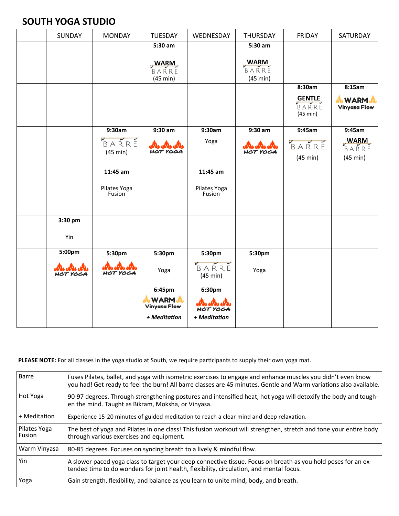### **SOUTH YOGA STUDIO**

| SUNDAY   | <b>MONDAY</b>          | <b>TUESDAY</b>       | WEDNESDAY                      | THURSDAY             | <b>FRIDAY</b> | SATURDAY             |
|----------|------------------------|----------------------|--------------------------------|----------------------|---------------|----------------------|
|          |                        | $5:30$ am            |                                | $5:30$ am            |               |                      |
|          |                        |                      |                                |                      |               |                      |
|          |                        | <b>WARM</b><br>BARRE |                                | <b>WARM</b><br>BARRE |               |                      |
|          |                        | (45 min)             |                                | (45 min)             |               |                      |
|          |                        |                      |                                |                      | 8:30am        | 8:15am               |
|          |                        |                      |                                |                      | BARRE         | <b>WARM</b>          |
|          |                        |                      |                                |                      | (45 min)      | <b>Vinyasa Flow</b>  |
|          |                        |                      |                                |                      |               |                      |
|          | 9:30am                 | $9:30$ am            | 9:30am                         | $9:30$ am            | 9:45am        | 9:45am               |
|          | V<br>BARRE             | and and and          | Yoga                           | and and also         | BARRE         | <b>WARM</b><br>BARRE |
|          | (45 min)               | HOT YOGA             |                                | <b>HOT YOGA</b>      |               |                      |
|          |                        |                      |                                |                      | (45 min)      | (45 min)             |
|          | 11:45 am               |                      | 11:45 am                       |                      |               |                      |
|          |                        |                      |                                |                      |               |                      |
|          | Pilates Yoga<br>Fusion |                      | Pilates Yoga<br>Fusion         |                      |               |                      |
|          |                        |                      |                                |                      |               |                      |
|          |                        |                      |                                |                      |               |                      |
| 3:30 pm  |                        |                      |                                |                      |               |                      |
| Yin      |                        |                      |                                |                      |               |                      |
|          |                        |                      |                                |                      |               |                      |
| 5:00pm   | 5:30pm                 | 5:30pm               | 5:30pm                         | 5:30pm               |               |                      |
|          | and and and            |                      | BARRE                          |                      |               |                      |
| HOT YOGA | HOT YOGA               | Yoga                 | (45 min)                       | Yoga                 |               |                      |
|          |                        | 6:45pm               | 6:30pm                         |                      |               |                      |
|          |                        | <b>WARM</b>          |                                |                      |               |                      |
|          |                        | <b>Vinyasa Flow</b>  | <b>ANA ANA ANA</b><br>HOT YOGA |                      |               |                      |
|          |                        | + Meditation         | + Meditation                   |                      |               |                      |
|          |                        |                      |                                |                      |               |                      |

**PLEASE NOTE:** For all classes in the yoga studio at South, we require participants to supply their own yoga mat.

| Barre                    | Fuses Pilates, ballet, and yoga with isometric exercises to engage and enhance muscles you didn't even know<br>you had! Get ready to feel the burn! All barre classes are 45 minutes. Gentle and Warm variations also available. |
|--------------------------|----------------------------------------------------------------------------------------------------------------------------------------------------------------------------------------------------------------------------------|
| Hot Yoga                 | 90-97 degrees. Through strengthening postures and intensified heat, hot yoga will detoxify the body and tough-<br>en the mind. Taught as Bikram, Moksha, or Vinyasa.                                                             |
| + Meditation             | Experience 15-20 minutes of guided meditation to reach a clear mind and deep relaxation.                                                                                                                                         |
| Pilates Yoga<br>l Fusion | The best of yoga and Pilates in one class! This fusion workout will strengthen, stretch and tone your entire body<br>through various exercises and equipment.                                                                    |
| Warm Vinyasa             | 80-85 degrees. Focuses on syncing breath to a lively & mindful flow.                                                                                                                                                             |
| Yin                      | A slower paced yoga class to target your deep connective tissue. Focus on breath as you hold poses for an ex-<br>tended time to do wonders for joint health, flexibility, circulation, and mental focus.                         |
| Yoga                     | Gain strength, flexibility, and balance as you learn to unite mind, body, and breath.                                                                                                                                            |